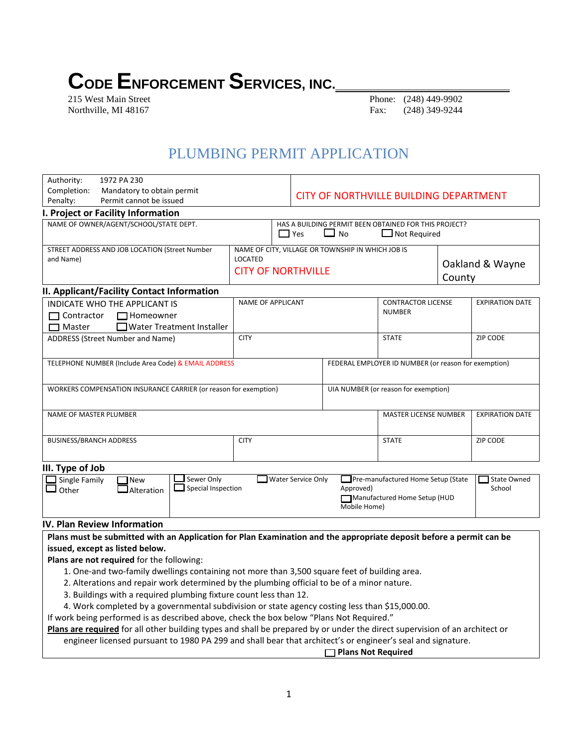# **CODE ENFORCEMENT SERVICES, INC.**<br>215 West Main Street

Phone: (248) 449-9902 Northville, MI 48167 **Fax:** (248) 349-9244

# PLUMBING PERMIT APPLICATION

| Authority:                                                       | 1972 PA 230                                                            |                           |                                                       |                                                      |                                    |                 |                        |
|------------------------------------------------------------------|------------------------------------------------------------------------|---------------------------|-------------------------------------------------------|------------------------------------------------------|------------------------------------|-----------------|------------------------|
| Completion:<br>Mandatory to obtain permit                        |                                                                        |                           |                                                       |                                                      |                                    |                 |                        |
| Permit cannot be issued<br>Penalty:                              |                                                                        |                           | CITY OF NORTHVILLE BUILDING DEPARTMENT                |                                                      |                                    |                 |                        |
|                                                                  | I. Project or Facility Information                                     |                           |                                                       |                                                      |                                    |                 |                        |
| NAME OF OWNER/AGENT/SCHOOL/STATE DEPT.                           |                                                                        |                           | HAS A BUILDING PERMIT BEEN OBTAINED FOR THIS PROJECT? |                                                      |                                    |                 |                        |
|                                                                  |                                                                        |                           | $\Box$ Yes                                            | $\mathbf{I}$<br><b>No</b>                            | $\Box$ Not Required                |                 |                        |
|                                                                  | STREET ADDRESS AND JOB LOCATION (Street Number                         |                           |                                                       | NAME OF CITY, VILLAGE OR TOWNSHIP IN WHICH JOB IS    |                                    |                 |                        |
| and Name)                                                        |                                                                        | <b>LOCATED</b>            |                                                       |                                                      |                                    |                 |                        |
|                                                                  |                                                                        | <b>CITY OF NORTHVILLE</b> |                                                       | Oakland & Wayne                                      |                                    |                 |                        |
|                                                                  |                                                                        |                           |                                                       | County                                               |                                    |                 |                        |
|                                                                  | II. Applicant/Facility Contact Information                             |                           |                                                       |                                                      |                                    |                 |                        |
|                                                                  | <b>INDICATE WHO THE APPLICANT IS</b>                                   |                           | <b>NAME OF APPLICANT</b>                              |                                                      | <b>CONTRACTOR LICENSE</b>          |                 | <b>EXPIRATION DATE</b> |
| Contractor                                                       | $\Box$ Homeowner                                                       |                           |                                                       |                                                      | <b>NUMBER</b>                      |                 |                        |
| $\Box$ Master                                                    | □ Water Treatment Installer                                            |                           |                                                       |                                                      |                                    |                 |                        |
|                                                                  | ADDRESS (Street Number and Name)                                       | <b>CITY</b>               |                                                       | <b>STATE</b>                                         |                                    | <b>ZIP CODE</b> |                        |
|                                                                  |                                                                        |                           |                                                       |                                                      |                                    |                 |                        |
| TELEPHONE NUMBER (Include Area Code) & EMAIL ADDRESS             |                                                                        |                           |                                                       | FEDERAL EMPLOYER ID NUMBER (or reason for exemption) |                                    |                 |                        |
|                                                                  |                                                                        |                           |                                                       |                                                      |                                    |                 |                        |
| WORKERS COMPENSATION INSURANCE CARRIER (or reason for exemption) |                                                                        |                           |                                                       | UIA NUMBER (or reason for exemption)                 |                                    |                 |                        |
|                                                                  |                                                                        |                           |                                                       |                                                      |                                    |                 |                        |
|                                                                  |                                                                        |                           |                                                       |                                                      |                                    |                 |                        |
| NAME OF MASTER PLUMBER                                           |                                                                        |                           |                                                       |                                                      | <b>MASTER LICENSE NUMBER</b>       |                 | <b>EXPIRATION DATE</b> |
|                                                                  |                                                                        |                           |                                                       |                                                      |                                    |                 |                        |
| <b>BUSINESS/BRANCH ADDRESS</b><br><b>CITY</b>                    |                                                                        |                           |                                                       |                                                      | <b>STATE</b>                       |                 | ZIP CODE               |
|                                                                  |                                                                        |                           |                                                       |                                                      |                                    |                 |                        |
| III. Type of Job                                                 |                                                                        |                           |                                                       |                                                      |                                    |                 |                        |
| Single Family                                                    | Sewer Only<br><b>TNew</b>                                              |                           | Water Service Only                                    |                                                      | Pre-manufactured Home Setup (State |                 | <b>State Owned</b>     |
| Other                                                            | $\Box$ Special Inspection<br>$\mathsf{\mathsf{\mathsf{I}}}$ Alteration |                           |                                                       | Approved)                                            |                                    |                 | School                 |
| Manufactured Home Setup (HUD                                     |                                                                        |                           |                                                       |                                                      |                                    |                 |                        |
|                                                                  |                                                                        |                           |                                                       | Mobile Home)                                         |                                    |                 |                        |
|                                                                  | $\sim$ $\sim$                                                          |                           |                                                       |                                                      |                                    |                 |                        |

### **IV. Plan Review Information**

**Plans must be submitted with an Application for Plan Examination and the appropriate deposit before a permit can be issued, except as listed below.**

**Plans are not required** for the following:

- 1. One-and two-family dwellings containing not more than 3,500 square feet of building area.
- 2. Alterations and repair work determined by the plumbing official to be of a minor nature.
- 3. Buildings with a required plumbing fixture count less than 12.
- 4. Work completed by a governmental subdivision or state agency costing less than \$15,000.00.

If work being performed is as described above, check the box below "Plans Not Required."

**Plans are required** for all other building types and shall be prepared by or under the direct supervision of an architect or engineer licensed pursuant to 1980 PA 299 and shall bear that architect's or engineer's seal and signature.

> **Plans Not Required** ֺֺ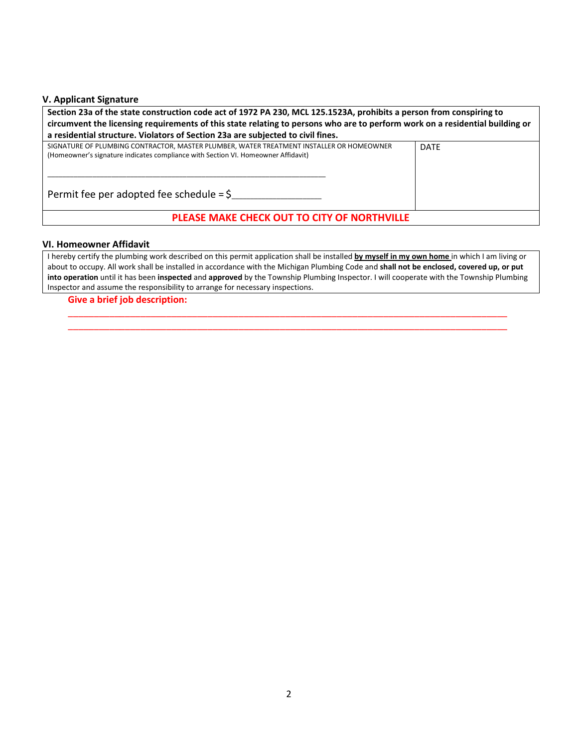## **V. Applicant Signature**

| Section 23a of the state construction code act of 1972 PA 230, MCL 125.1523A, prohibits a person from conspiring to<br>circumvent the licensing requirements of this state relating to persons who are to perform work on a residential building or |             |  |  |  |  |
|-----------------------------------------------------------------------------------------------------------------------------------------------------------------------------------------------------------------------------------------------------|-------------|--|--|--|--|
| a residential structure. Violators of Section 23a are subjected to civil fines.                                                                                                                                                                     |             |  |  |  |  |
| SIGNATURE OF PLUMBING CONTRACTOR, MASTER PLUMBER, WATER TREATMENT INSTALLER OR HOMEOWNER<br>(Homeowner's signature indicates compliance with Section VI. Homeowner Affidavit)<br>Permit fee per adopted fee schedule $=$ \$                         | <b>DATE</b> |  |  |  |  |
| PLEASE MAKE CHECK OUT TO CITY OF NORTHVILLE                                                                                                                                                                                                         |             |  |  |  |  |

#### **VI. Homeowner Affidavit**

I hereby certify the plumbing work described on this permit application shall be installed **by myself in my own home** in which I am living or about to occupy. All work shall be installed in accordance with the Michigan Plumbing Code and **shall not be enclosed, covered up, or put into operation** until it has been **inspected** and **approved** by the Township Plumbing Inspector. I will cooperate with the Township Plumbing Inspector and assume the responsibility to arrange for necessary inspections.

\_\_\_\_\_\_\_\_\_\_\_\_\_\_\_\_\_\_\_\_\_\_\_\_\_\_\_\_\_\_\_\_\_\_\_\_\_\_\_\_\_\_\_\_\_\_\_\_\_\_\_\_\_\_\_\_\_\_\_\_\_\_\_\_\_\_\_\_\_\_\_\_\_\_\_\_\_\_\_\_\_\_\_\_\_ \_\_\_\_\_\_\_\_\_\_\_\_\_\_\_\_\_\_\_\_\_\_\_\_\_\_\_\_\_\_\_\_\_\_\_\_\_\_\_\_\_\_\_\_\_\_\_\_\_\_\_\_\_\_\_\_\_\_\_\_\_\_\_\_\_\_\_\_\_\_\_\_\_\_\_\_\_\_\_\_\_\_\_\_\_

#### **Give a brief job description:**